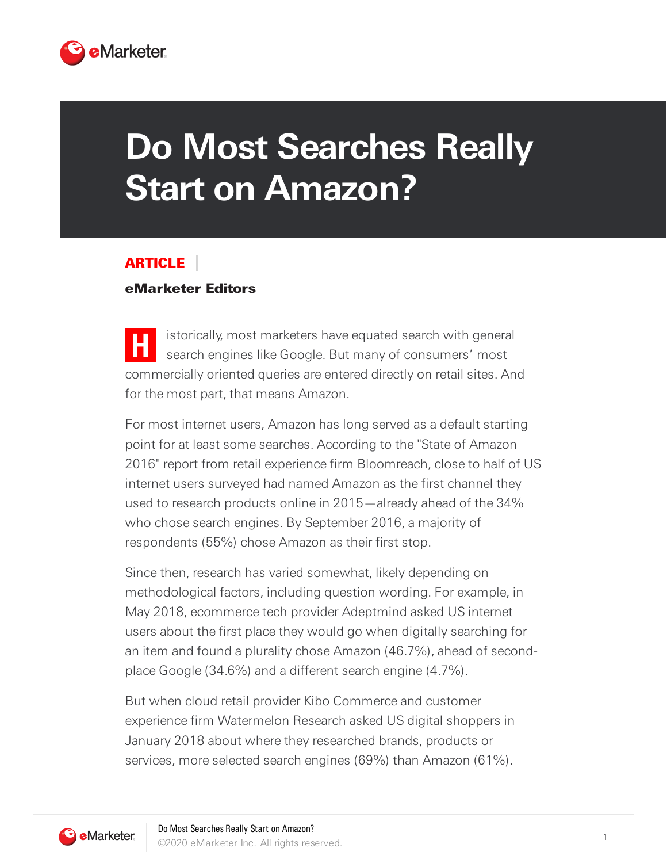

## **Do Most Searches Really Start on Amazon?**

## ARTICLE

## eMarketer Editors

**H** istorically, most marketers have equated search with general search engines like Google. But many of consumers' most commercially oriented queries are entered directly on retail sites. And for the most part, that means Amazon.

For most internet users, Amazon has long served as a default starting point for at least some searches. According to the "State of Amazon 2016" report from retail experience firm Bloomreach, close to half of US internet users surveyed had named Amazon as the first channel they used to research products online in 2015—already ahead of the 34% who chose search engines. By September 2016, a majority of respondents (55%) chose Amazon as their first stop.

Since then, research has varied somewhat, likely depending on methodological factors, including question wording. For example, in May 2018, ecommerce tech provider Adeptmind asked US internet users about the first place they would go when digitally searching for an item and found a plurality chose Amazon (46.7%), ahead of secondplace Google (34.6%) and a different search engine (4.7%).

But when cloud retail provider Kibo Commerce and customer experience firm Watermelon Research asked US digital shoppers in January 2018 about where they researched brands, products or services, more selected search engines (69%) than Amazon (61%).

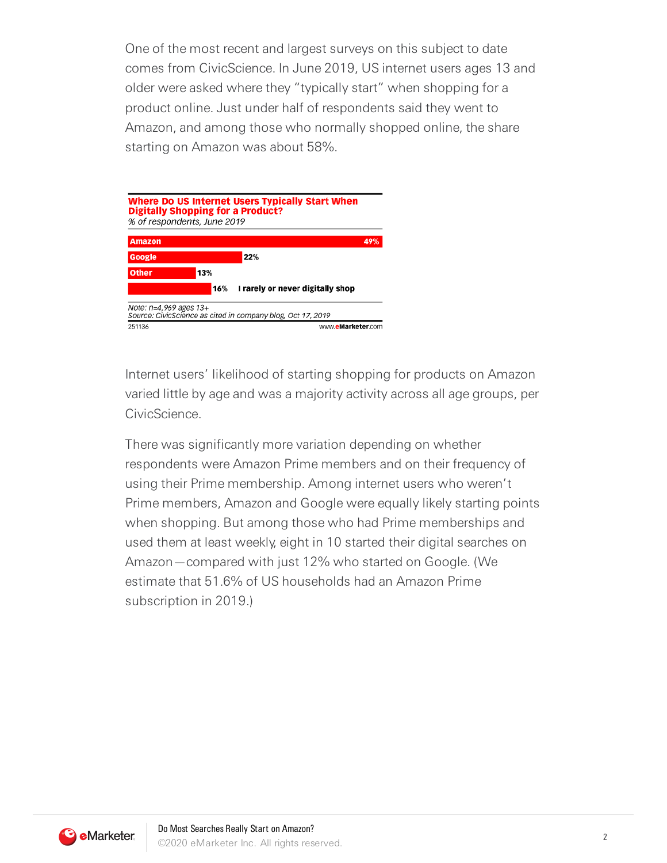One of the most recent and largest surveys on this subject to date comes from CivicScience. In June 2019, US internet users ages 13 and older were asked where they "typically start" when shopping for a product online. Just under half of respondents said they went to Amazon, and among those who normally shopped online, the share starting on Amazon was about 58%.

|              | % of respondents, June 2019 |                                  |
|--------------|-----------------------------|----------------------------------|
| Amazon       |                             | 49%                              |
| Google       |                             | 22%                              |
| <b>Other</b> | 13%                         |                                  |
|              | 16%                         | I rarely or never digitally shop |

Internet users' likelihood of starting shopping for products on Amazon varied little by age and was a majority activity across all age groups, per CivicScience.

There was significantly more variation depending on whether respondents were Amazon Prime members and on their frequency of using their Prime membership. Among internet users who weren't Prime members, Amazon and Google were equally likely starting points when shopping. But among those who had Prime memberships and used them at least weekly, eight in 10 started their digital searches on Amazon—compared with just 12% who started on Google. (We estimate that 51.6% of US households had an Amazon Prime subscription in 2019.)

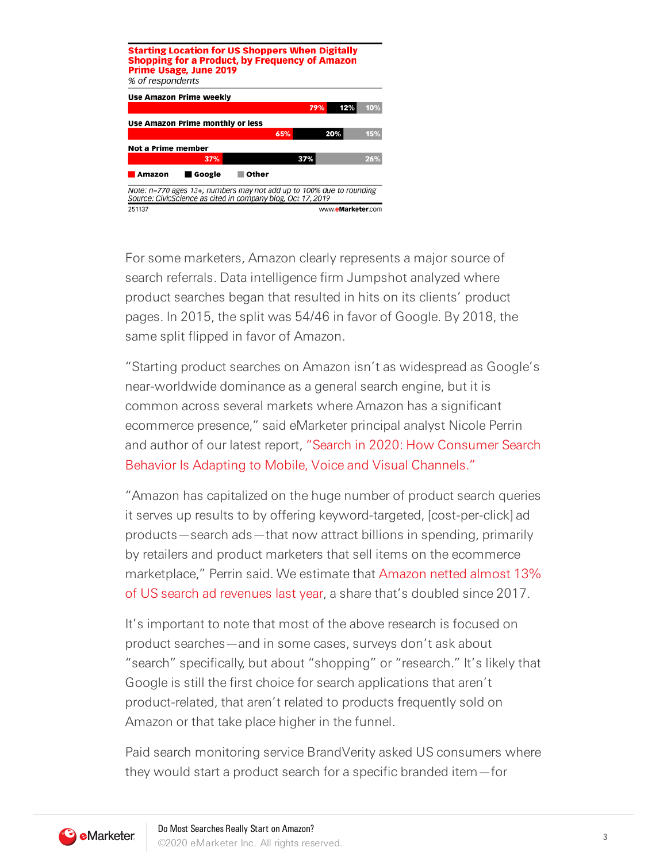| <b>Starting Location for US Shoppers When Digitally</b><br><b>Shopping for a Product, by Frequency of Amazon</b><br>% of respondents | <b>Prime Usage, June 2019</b> |       |     |     |                   |     |
|--------------------------------------------------------------------------------------------------------------------------------------|-------------------------------|-------|-----|-----|-------------------|-----|
| Use Amazon Prime weekly                                                                                                              |                               |       |     |     |                   |     |
|                                                                                                                                      |                               |       |     | 79% | 12%               | 10% |
| Use Amazon Prime monthly or less                                                                                                     |                               |       |     |     |                   |     |
|                                                                                                                                      |                               |       | 65% |     | 20%               | 15% |
| Not a Prime member                                                                                                                   |                               |       |     |     |                   |     |
|                                                                                                                                      | 37%                           |       |     | 37% |                   | 26% |
| Amazon                                                                                                                               | ■ Google                      | Other |     |     |                   |     |
| Note: n=770 ages 13+; numbers may not add up to 100% due to rounding<br>Source: CivicScience as cited in company blog, Oct 17, 2019  |                               |       |     |     |                   |     |
| 251137                                                                                                                               |                               |       |     |     | www.eMarketer.com |     |

For some marketers, Amazon clearly represents a major source of search referrals. Data intelligence firm Jumpshot analyzed where product searches began that resulted in hits on its clients' product pages. In 2015, the split was 54/46 in favor of Google. By 2018, the same split flipped in favor of Amazon.

"Starting product searches on Amazon isn't as widespread as Google's near-worldwide dominance as a general search engine, but it is common across several markets where Amazon has a significant ecommerce presence," said eMarketer principal analyst Nicole Perrin and author of our latest report, "Search in 2020: How Consumer Search Behavior Is Adapting to Mobile, Voice and Visual Channels."

"Amazon has capitalized on the huge number of product search queries it serves up results to by offering keyword-targeted, [cost-per-click] ad products—search ads—that now attract billions in spending, primarily by retailers and product marketers that sell items on the ecommerce marketplace," Perrin said. We estimate that Amazon netted almost 13% of US search ad revenues last year, a share that's doubled since 2017.

It's important to note that most of the above research is focused on product searches—and in some cases, surveys don't ask about "search" specifically, but about "shopping" or "research." It's likely that Google is still the first choice for search applications that aren't product-related, that aren't related to products frequently sold on Amazon or that take place higher in the funnel.

Paid search monitoring service BrandVerity asked US consumers where they would start a product search for a specific branded item—for